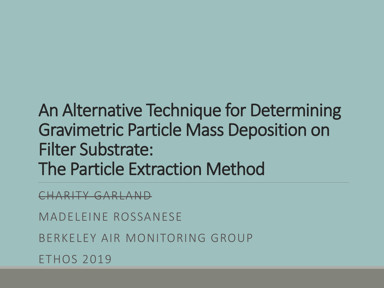#### An Alternative Technique for Determining Gravimetric Particle Mass Deposition on Filter Substrate: The Particle Extraction Method

CHARITY GARLAND

MADELEINE ROSSANESE

BERKELEY AIR MONITORING GROUP

ETHOS 2019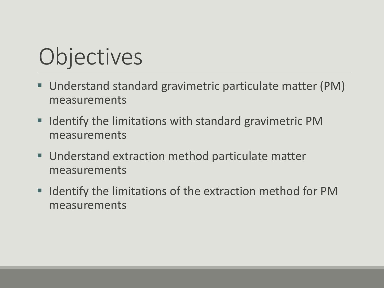# **Objectives**

- Understand standard gravimetric particulate matter (PM) measurements
- **IDENTIFY THE LIMITE IN STRING IN STANDARY IN A LIGAN FIG. 7 IN STANDARY IN STANDARY CONTINUITY IN STANDARY IN STANDARY CONTINUITY IN A LIGAN FIG. 7 IN STANDARY EVALUTE IN STANDARY EVALUTE IN STANDARY EVALUTE IN STANDARY E** measurements
- Understand extraction method particulate matter measurements
- **IDENTIFY THE LIMIT IS SET IS CONTINUES IN THE INCRYSTM** measurements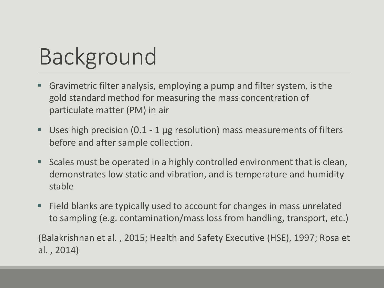### Background

- Gravimetric filter analysis, employing a pump and filter system, is the gold standard method for measuring the mass concentration of particulate matter (PM) in air
- Uses high precision  $(0.1 1 \mu g$  resolution) mass measurements of filters before and after sample collection.
- Scales must be operated in a highly controlled environment that is clean, demonstrates low static and vibration, and is temperature and humidity stable
- Field blanks are typically used to account for changes in mass unrelated to sampling (e.g. contamination/mass loss from handling, transport, etc.)

(Balakrishnan et al. , 2015; Health and Safety Executive (HSE), 1997; Rosa et al. , 2014)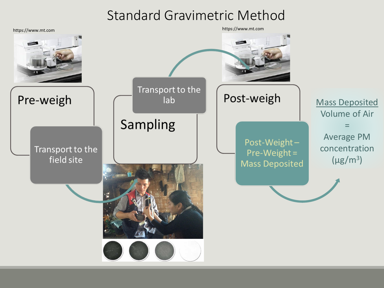#### Standard Gravimetric Method

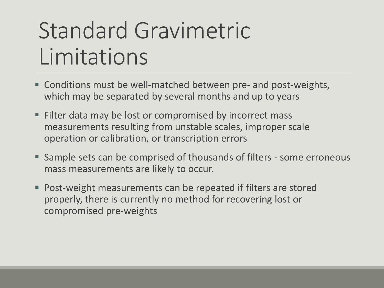#### Standard Gravimetric Limitations

- Conditions must be well-matched between pre- and post-weights, which may be separated by several months and up to years
- Filter data may be lost or compromised by incorrect mass measurements resulting from unstable scales, improper scale operation or calibration, or transcription errors
- **Sample sets can be comprised of thousands of filters some erroneous** mass measurements are likely to occur.
- Post-weight measurements can be repeated if filters are stored properly, there is currently no method for recovering lost or compromised pre-weights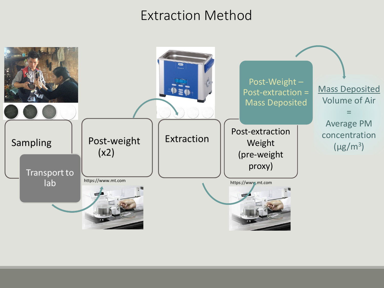#### Extraction Method

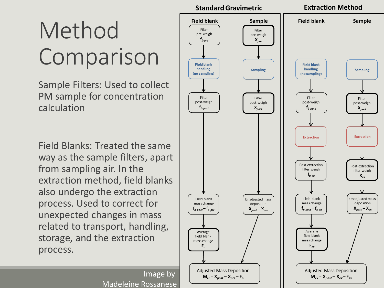# Method Comparison

Sample Filters: Used to collect PM sample for concentration calculation

Field Blanks: Treated the same way as the sample filters, apart from sampling air. In the extraction method, field blanks also undergo the extraction process. Used to correct for unexpected changes in mass related to transport, handling, storage, and the extraction process.

> Image by Madeleine Rossanese

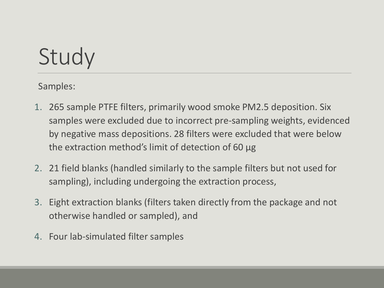### Study

Samples:

- 1. 265 sample PTFE filters, primarily wood smoke PM2.5 deposition. Six samples were excluded due to incorrect pre-sampling weights, evidenced by negative mass depositions. 28 filters were excluded that were below the extraction method's limit of detection of 60 μg
- 2. 21 field blanks (handled similarly to the sample filters but not used for sampling), including undergoing the extraction process,
- 3. Eight extraction blanks (filters taken directly from the package and not otherwise handled or sampled), and
- 4. Four lab-simulated filter samples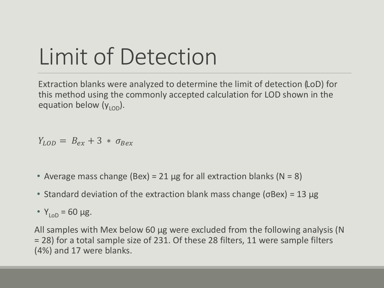### Limit of Detection

Extraction blanks were analyzed to determine the limit of detection (LoD) for this method using the commonly accepted calculation for LOD shown in the equation below  $(y<sub>LOD</sub>)$ .

$$
Y_{LOD} = B_{ex} + 3 * \sigma_{Bex}
$$

- Average mass change (Bex) = 21  $\mu$ g for all extraction blanks (N = 8)
- Standard deviation of the extraction blank mass change ( $\sigma$ Bex) = 13  $\mu$ g

•  $Y_{\text{Lop}} = 60 \mu g$ .

All samples with Mex below 60 μg were excluded from the following analysis (N = 28) for a total sample size of 231. Of these 28 filters, 11 were sample filters (4%) and 17 were blanks.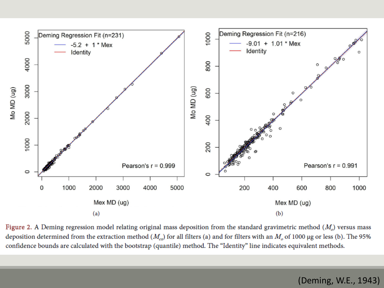

Figure 2. A Deming regression model relating original mass deposition from the standard gravimetric method ( $M_o$ ) versus mass deposition determined from the extraction method  $(M_{ex})$  for all filters (a) and for filters with an  $M_{o}$  of 1000 µg or less (b). The 95% confidence bounds are calculated with the bootstrap (quantile) method. The "Identity" line indicates equivalent methods.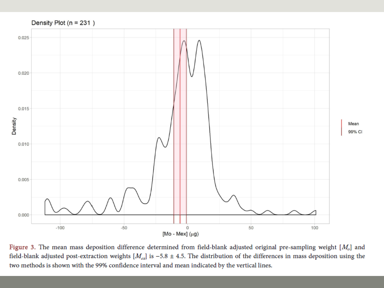

Figure 3. The mean mass deposition difference determined from field-blank adjusted original pre-sampling weight  $[M_o]$  and field-blank adjusted post-extraction weights  $[M_{ex}]$  is -5.8 ± 4.5. The distribution of the differences in mass deposition using the two methods is shown with the 99% confidence interval and mean indicated by the vertical lines.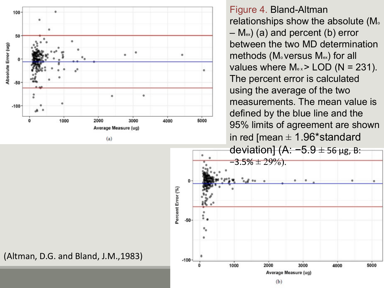

Figure 4. Bland-Altman relationships show the absolute (M.  $-$  M<sub>ex</sub>) (a) and percent (b) error between the two MD determination methods (M<sub>o</sub> versus M<sub>ex</sub>) for all values where  $M_{ex}$  > LOD (N = 231). The percent error is calculated using the average of the two measurements. The mean value is defined by the blue line and the 95% limits of agreement are shown in red [mean  $\pm$  1.96\*standard



(Altman, D.G. and Bland, J.M.,1983)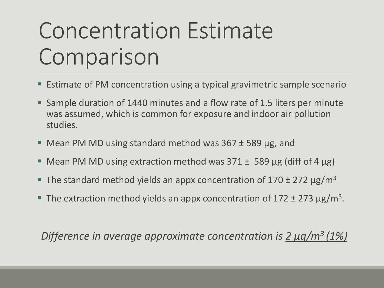### Concentration Estimate Comparison

- Estimate of PM concentration using a typical gravimetric sample scenario
- Sample duration of 1440 minutes and a flow rate of 1.5 liters per minute was assumed, which is common for exposure and indoor air pollution studies.
- Mean PM MD using standard method was 367 ± 589 μg, and
- Mean PM MD using extraction method was  $371 \pm 589$  μg (diff of 4 μg)
- The standard method yields an appx concentration of  $170 \pm 272 \,\mathrm{\mu g/m^3}$
- The extraction method yields an appx concentration of  $172 \pm 273 \,\mathrm{\upmu g/m^3}$ .

*Difference in average approximate concentration is 2 μg/m3 (1%)*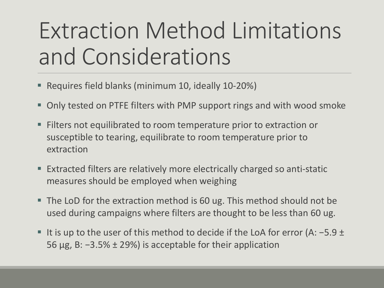### Extraction Method Limitations and Considerations

- Requires field blanks (minimum 10, ideally 10-20%)
- Only tested on PTFE filters with PMP support rings and with wood smoke
- Filters not equilibrated to room temperature prior to extraction or susceptible to tearing, equilibrate to room temperature prior to extraction
- Extracted filters are relatively more electrically charged so anti-static measures should be employed when weighing
- The LoD for the extraction method is 60 ug. This method should not be used during campaigns where filters are thought to be less than 60 ug.
- **If is up to the user of this method to decide if the LoA for error (A: -5.9 ±** 56 μg, B: −3.5% ± 29%) is acceptable for their application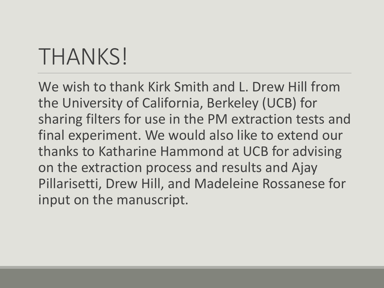#### THANKS!

We wish to thank Kirk Smith and L. Drew Hill from the University of California, Berkeley (UCB) for sharing filters for use in the PM extraction tests and final experiment. We would also like to extend our thanks to Katharine Hammond at UCB for advising on the extraction process and results and Ajay Pillarisetti, Drew Hill, and Madeleine Rossanese for input on the manuscript.